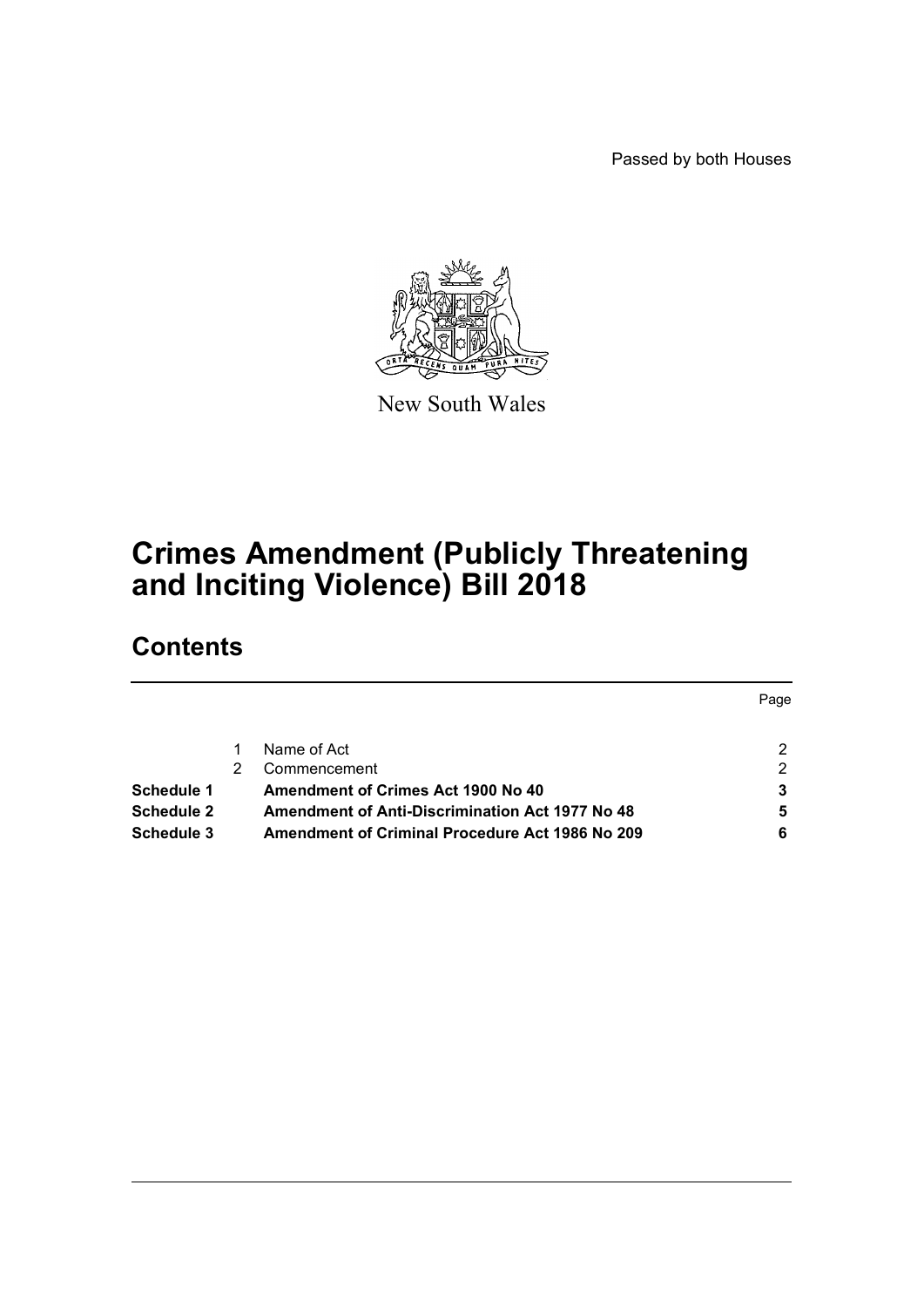Passed by both Houses



New South Wales

# **Crimes Amendment (Publicly Threatening and Inciting Violence) Bill 2018**

## **Contents**

|            |                                                        | Page |
|------------|--------------------------------------------------------|------|
|            | Name of Act                                            | 2    |
|            | Commencement                                           | 2    |
| Schedule 1 | Amendment of Crimes Act 1900 No 40                     | 3    |
| Schedule 2 | <b>Amendment of Anti-Discrimination Act 1977 No 48</b> | 5    |
| Schedule 3 | <b>Amendment of Criminal Procedure Act 1986 No 209</b> | 6    |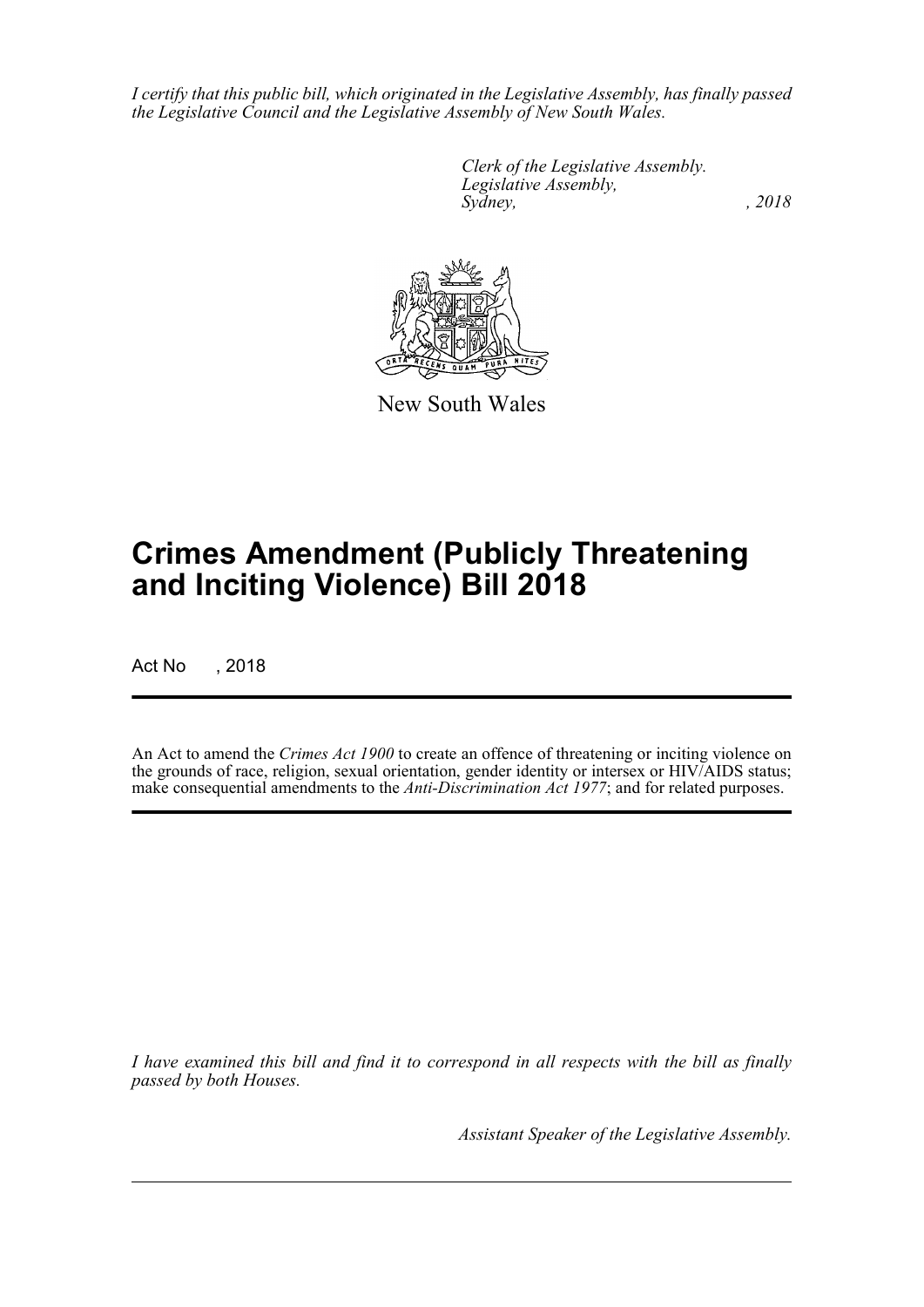*I certify that this public bill, which originated in the Legislative Assembly, has finally passed the Legislative Council and the Legislative Assembly of New South Wales.*

> *Clerk of the Legislative Assembly. Legislative Assembly, Sydney, , 2018*



New South Wales

# **Crimes Amendment (Publicly Threatening and Inciting Violence) Bill 2018**

Act No , 2018

An Act to amend the *Crimes Act 1900* to create an offence of threatening or inciting violence on the grounds of race, religion, sexual orientation, gender identity or intersex or HIV/AIDS status; make consequential amendments to the *Anti-Discrimination Act 1977*; and for related purposes.

*I have examined this bill and find it to correspond in all respects with the bill as finally passed by both Houses.*

*Assistant Speaker of the Legislative Assembly.*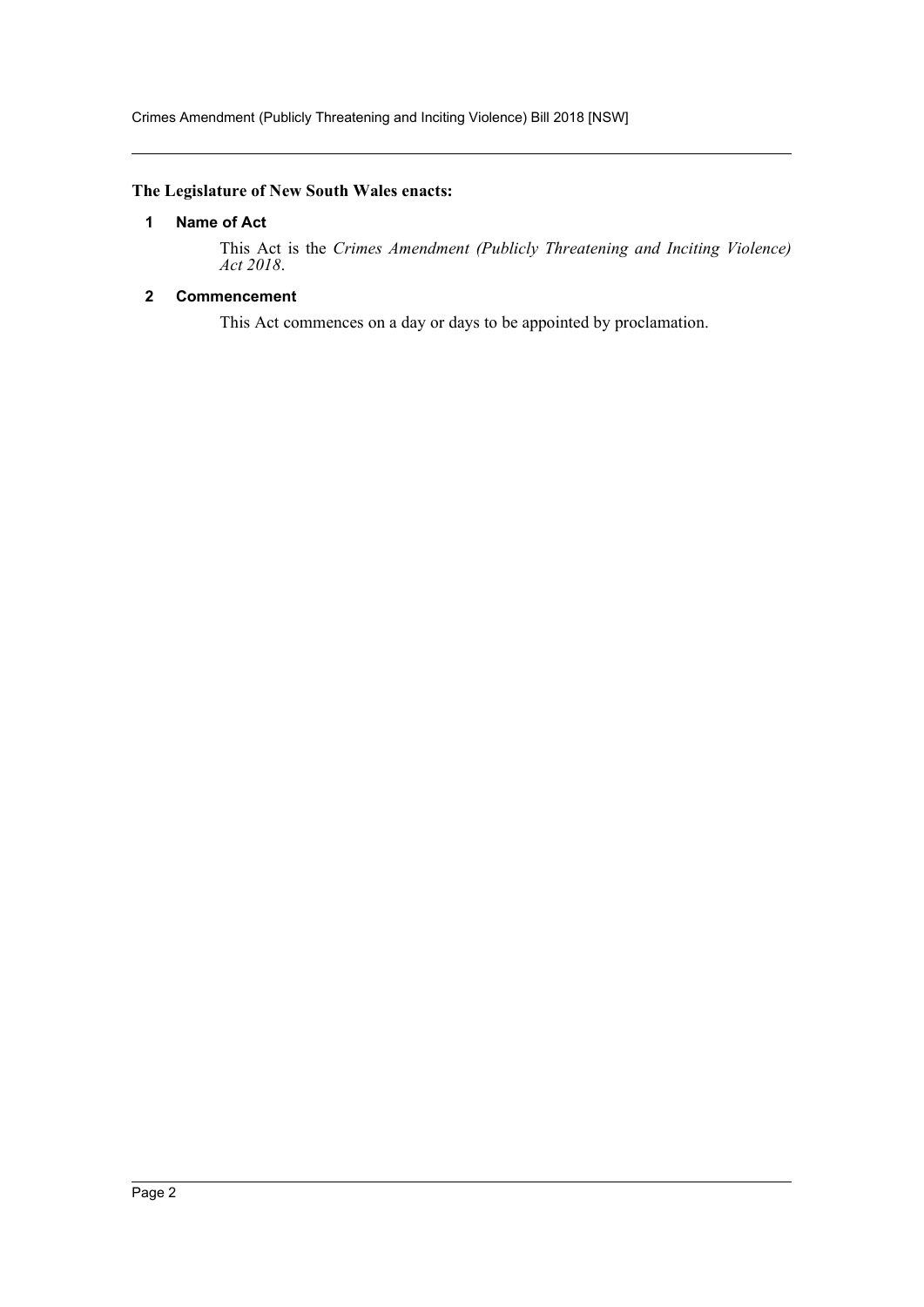Crimes Amendment (Publicly Threatening and Inciting Violence) Bill 2018 [NSW]

#### <span id="page-2-0"></span>**The Legislature of New South Wales enacts:**

#### **1 Name of Act**

This Act is the *Crimes Amendment (Publicly Threatening and Inciting Violence) Act 2018*.

#### <span id="page-2-1"></span>**2 Commencement**

This Act commences on a day or days to be appointed by proclamation.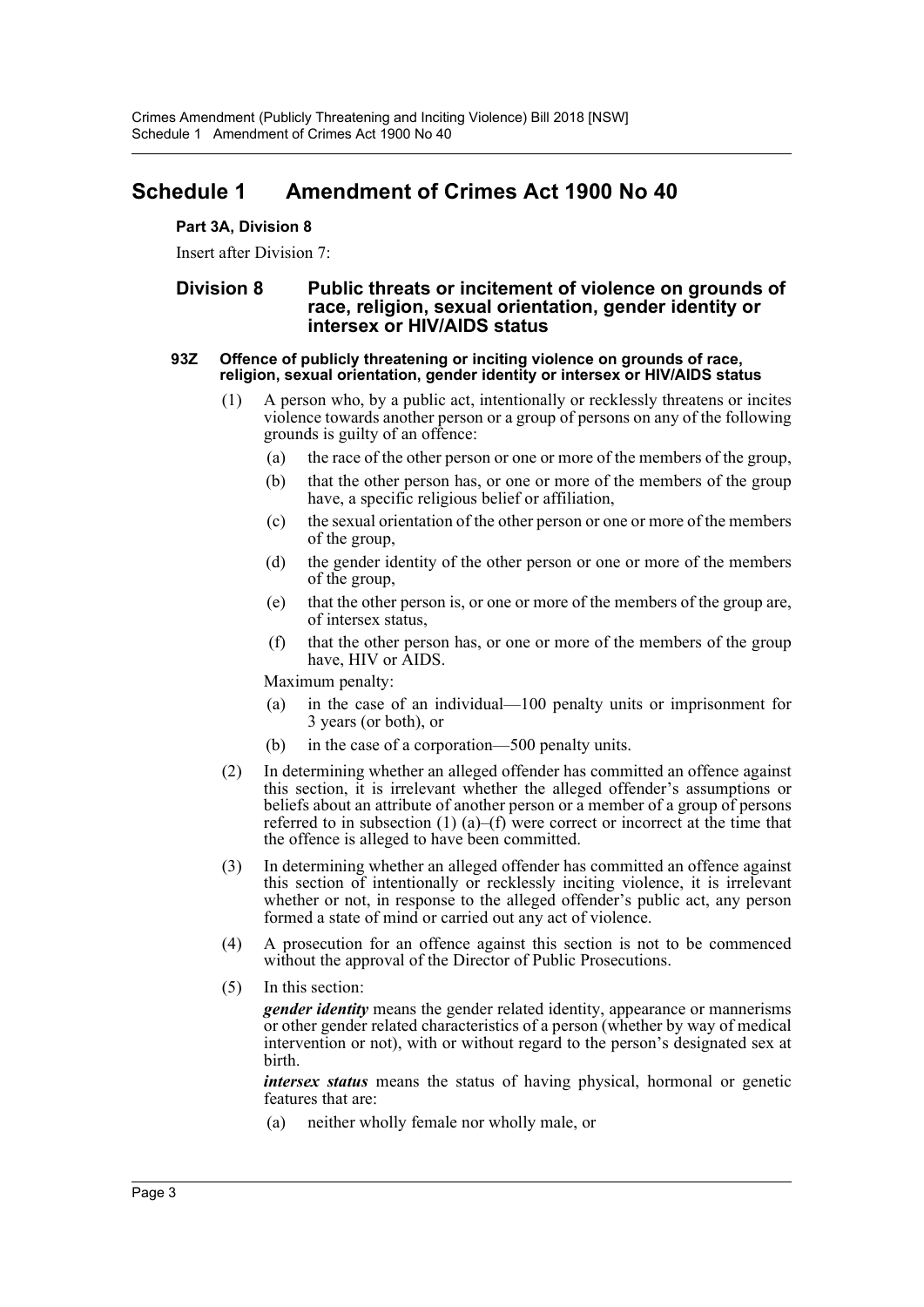### <span id="page-3-0"></span>**Schedule 1 Amendment of Crimes Act 1900 No 40**

#### **Part 3A, Division 8**

Insert after Division 7:

#### **Division 8 Public threats or incitement of violence on grounds of race, religion, sexual orientation, gender identity or intersex or HIV/AIDS status**

#### **93Z Offence of publicly threatening or inciting violence on grounds of race, religion, sexual orientation, gender identity or intersex or HIV/AIDS status**

- (1) A person who, by a public act, intentionally or recklessly threatens or incites violence towards another person or a group of persons on any of the following grounds is guilty of an offence:
	- (a) the race of the other person or one or more of the members of the group,
	- (b) that the other person has, or one or more of the members of the group have, a specific religious belief or affiliation,
	- (c) the sexual orientation of the other person or one or more of the members of the group,
	- (d) the gender identity of the other person or one or more of the members of the group,
	- (e) that the other person is, or one or more of the members of the group are, of intersex status,
	- (f) that the other person has, or one or more of the members of the group have, HIV or AIDS.

Maximum penalty:

- (a) in the case of an individual—100 penalty units or imprisonment for 3 years (or both), or
- (b) in the case of a corporation—500 penalty units.
- (2) In determining whether an alleged offender has committed an offence against this section, it is irrelevant whether the alleged offender's assumptions or beliefs about an attribute of another person or a member of a group of persons referred to in subsection  $(1)$   $(a)$ – $(f)$  were correct or incorrect at the time that the offence is alleged to have been committed.
- (3) In determining whether an alleged offender has committed an offence against this section of intentionally or recklessly inciting violence, it is irrelevant whether or not, in response to the alleged offender's public act, any person formed a state of mind or carried out any act of violence.
- (4) A prosecution for an offence against this section is not to be commenced without the approval of the Director of Public Prosecutions.
- (5) In this section:

*gender identity* means the gender related identity, appearance or mannerisms or other gender related characteristics of a person (whether by way of medical intervention or not), with or without regard to the person's designated sex at birth.

*intersex status* means the status of having physical, hormonal or genetic features that are:

(a) neither wholly female nor wholly male, or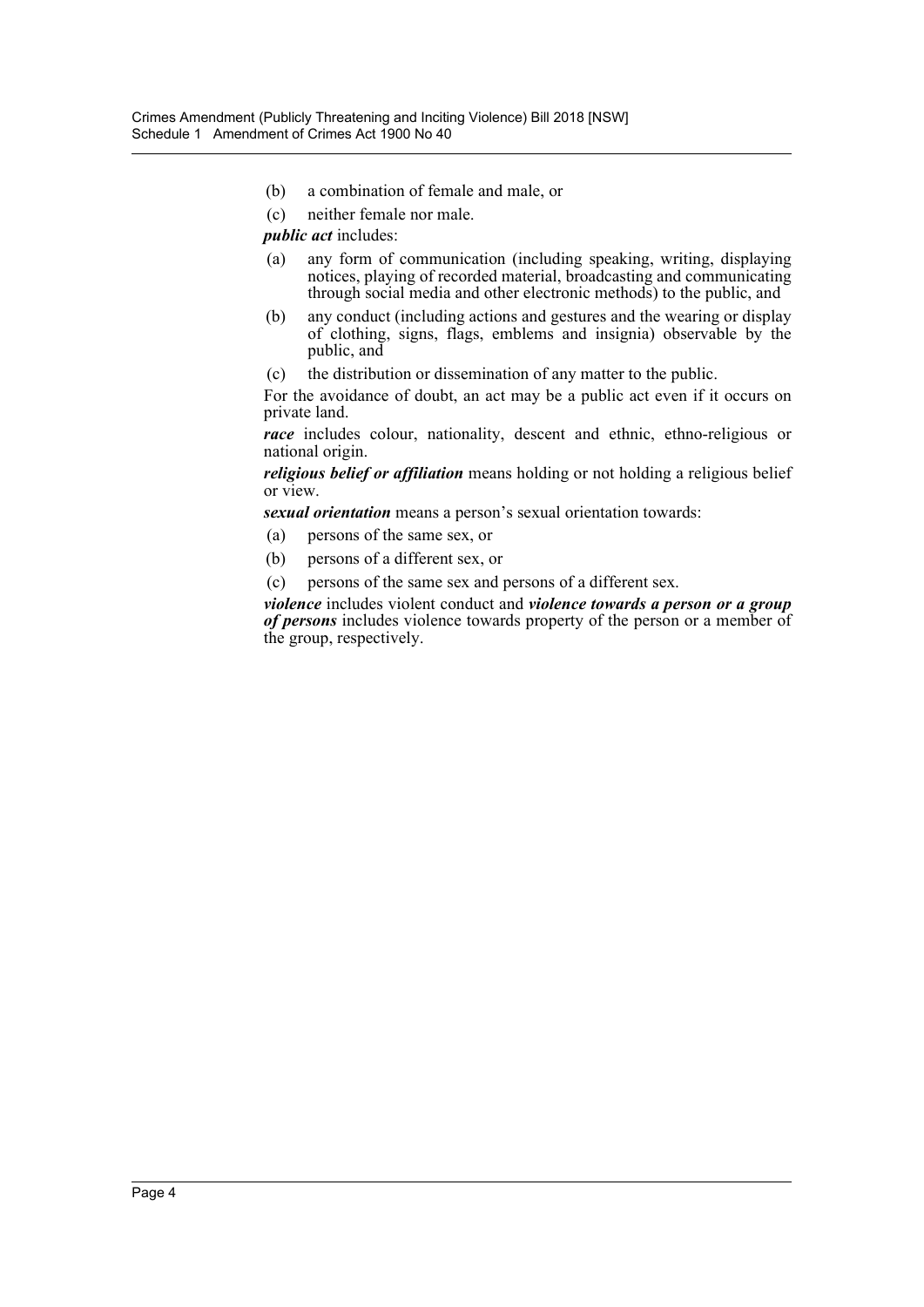- (b) a combination of female and male, or
- (c) neither female nor male.

*public act* includes:

- (a) any form of communication (including speaking, writing, displaying notices, playing of recorded material, broadcasting and communicating through social media and other electronic methods) to the public, and
- (b) any conduct (including actions and gestures and the wearing or display of clothing, signs, flags, emblems and insignia) observable by the public, and
- (c) the distribution or dissemination of any matter to the public.

For the avoidance of doubt, an act may be a public act even if it occurs on private land.

*race* includes colour, nationality, descent and ethnic, ethno-religious or national origin.

*religious belief or affiliation* means holding or not holding a religious belief or view.

*sexual orientation* means a person's sexual orientation towards:

- (a) persons of the same sex, or
- (b) persons of a different sex, or
- (c) persons of the same sex and persons of a different sex.

*violence* includes violent conduct and *violence towards a person or a group of persons* includes violence towards property of the person or a member of the group, respectively.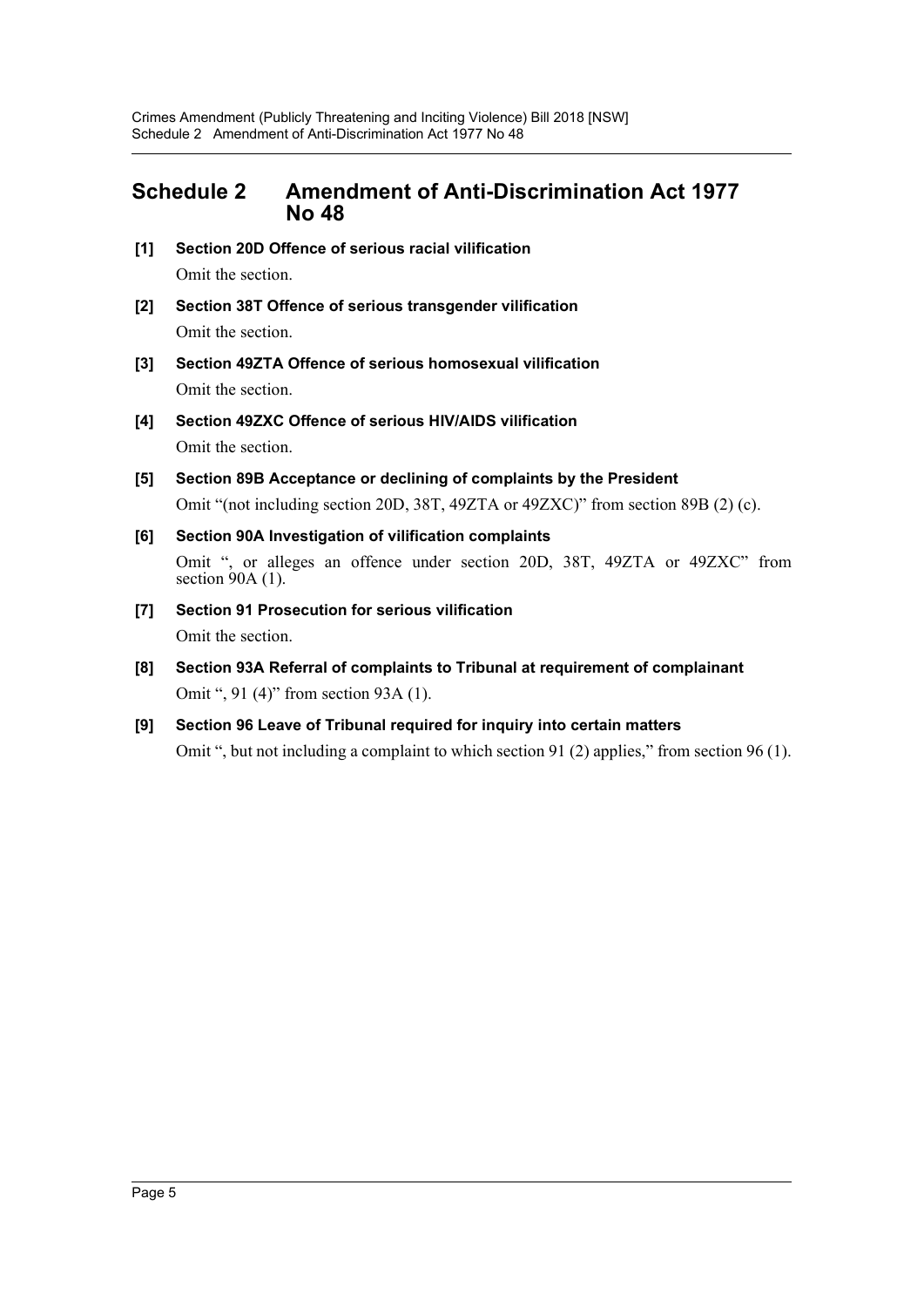### <span id="page-5-0"></span>**Schedule 2 Amendment of Anti-Discrimination Act 1977 No 48**

- **[1] Section 20D Offence of serious racial vilification** Omit the section.
- **[2] Section 38T Offence of serious transgender vilification** Omit the section.
- **[3] Section 49ZTA Offence of serious homosexual vilification** Omit the section.
- **[4] Section 49ZXC Offence of serious HIV/AIDS vilification** Omit the section.
- **[5] Section 89B Acceptance or declining of complaints by the President** Omit "(not including section 20D, 38T, 49ZTA or 49ZXC)" from section 89B (2) (c).
- **[6] Section 90A Investigation of vilification complaints** Omit ", or alleges an offence under section 20D, 38T, 49ZTA or 49ZXC" from section 90A (1).
- **[7] Section 91 Prosecution for serious vilification** Omit the section.
- **[8] Section 93A Referral of complaints to Tribunal at requirement of complainant** Omit ", 91 (4)" from section 93A (1).
- **[9] Section 96 Leave of Tribunal required for inquiry into certain matters** Omit ", but not including a complaint to which section 91 (2) applies," from section 96 (1).